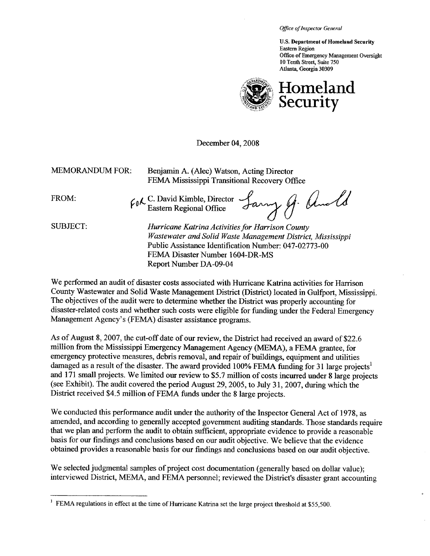Office of Inspector General

U.S. Department of Homeland Security Eastern Region Office of Emergency Management Oversight 10 Tenth Street, Suite 750 Atlanta, Georgia 30309



December 04, 2008

| <b>MEMORANDUM FOR:</b> | Benjamin A. (Alec) Watson, Acting Director<br>FEMA Mississippi Transitional Recovery Office                                                                                                                 |  |  |
|------------------------|-------------------------------------------------------------------------------------------------------------------------------------------------------------------------------------------------------------|--|--|
| FROM:                  | For C. David Kimble, Director Larry J. Anold                                                                                                                                                                |  |  |
| <b>SUBJECT:</b>        | Hurricane Katrina Activities for Harrison County<br>Wastewater and Solid Waste Management District, Mississippi<br>Public Assistance Identification Number: 047-02773-00<br>FEMA Disaster Number 1604-DR-MS |  |  |

Report Number DA-09-04

We performed an audit of disaster costs associated with Hurricane Katrina activities for Harrison County Wastewater and Solid Waste Management District (District) located in Gulfport, Mississippi. The objectives of the audit were to determine whether the District was properly accounting for disaster-related costs and whether such costs were eligible for fuding under the Federal Emergency Management Agency's (FEMA) disaster assistance programs.

As of Augut 8, 2007, the cut-off date of our review, the District had received an award of \$22.6 million from the Mississippi Emergency Management Agency (MEMA), a FEMA grantee, for emergency protective measures, debris removal, and repair of buildings, equipment and utilities damaged as a result of the disaster. The award provided 100% FEMA funding for 31 large projects<sup>1</sup> and 171 small projects. We limited our review to \$5.7 million of costs incurred under 8 large projects (see Exhibit). The audit covered the period August 29, 2005, to July 31, 2007, during which the District received \$4.5 million of FEMA funds under the 8 large projects.

We conducted this performance audit under the authority of the Inspector General Act of 1978, as amended, and according to generally accepted government auditing standards. Those standards require that we plan and perform the audit to obtain sufficient, appropriate evidence to provide a reasonable basis for our findings and conclusions based on our audit objective. We believe that the evidence obtained provides a reasonable basis for our findings and conclusions based on our audit objective.

We selected judgmental samples of project cost documentation (generally based on dollar value); interviewed District, MEMA, and FEMA personnel; reviewed the District's disaster grant accounting

<sup>&</sup>lt;sup>1</sup> FEMA regulations in effect at the time of Hurricane Katrina set the large project threshold at \$55,500.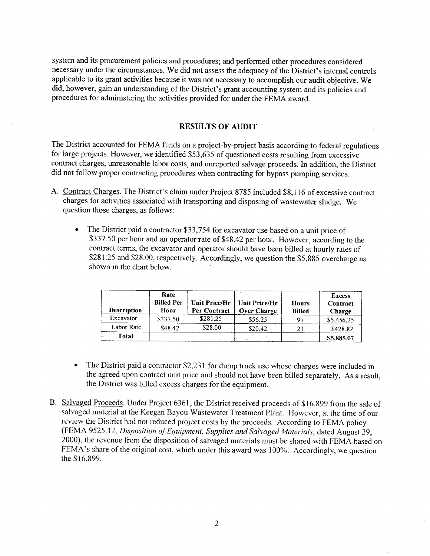system and its procurement policies and procedures; and performed other procedures considered necessary under the circumstances. We did not assess the adequacy of the District's internal controls applicable to its grant activities because it was not necessary to accomplish our audit objective. We did, however, gain an understanding of the District's grant accounting system and its policies and procedures for administering the activities provided for under the FEMA award.

#### RESULTS OF AUDIT

The District accounted for FEMA funds on a project-by-project basis according to federal regulations for large projects. However, we identified \$53,635 of questioned costs resulting from excessive contract charges, unreasonable labor costs, and unreported salvage proceeds. In addition, the District did not follow proper contracting procedures when contracting for bypass pumping services.

- A. Contract Charges. The District's claim under Project 8785 included \$8,116 of excessive contract charges for activities associated with transporting and disposing of wastewater sludge. We question those charges, as follows:
	- The District paid a contractor \$33,754 for excavator use based on a unit price of \$337.50 per hour and an operator rate of \$48.42 per hour. However, according to the contract terms, the excavator and operator should have been billed at hourly rates of \$281.25 and \$28.00, respectively. Accordingly, we question the \$5,885 overcharge as shown in the chart below.

| <b>Description</b> | Rate<br><b>Billed Per</b><br>Hour | Unit Price/Hr<br>Per Contract | Unit Price/Hr<br><b>Over Charge</b> | <b>Hours</b><br><b>Billed</b> | <b>Excess</b><br>Contract<br>Charge |
|--------------------|-----------------------------------|-------------------------------|-------------------------------------|-------------------------------|-------------------------------------|
| Excavator          | \$337.50                          | \$281.25                      | \$56.25                             | 97                            | \$5,456.25                          |
| Labor Rate         | \$48.42                           | \$28.00                       | \$20.42                             | 21                            | \$428.82                            |
| <b>Total</b>       |                                   |                               |                                     |                               | \$5,885.07                          |

- The District paid a contractor \$2,231 for dump truck use whose charges were included in the agreed upon contract unit price and should not have been billed separately. As a result, the District was biled excess charges for the equipment.
- B. Salvaged Proceeds. Under Project 6361, the District received proceeds of \$16,899 from the sale of salvaged material at the Keegan Bayou Wastewater Treatment Plant. However, at the time of our review the District had not reduced project costs by the proceeds, According to FEMA policy (FEMA 9525.12, Disposition of Equipment, Supplies and Salvaged Materials, dated August 29, 2000), the revenue from the disposition of salvaged materials must be shared with FEMA based on FEMA's share of the original cost, which under this award was 100%. Accordingly, we question the \$16.899.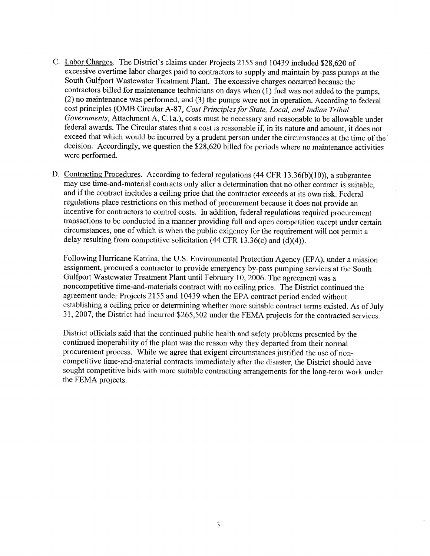- C. Labor Charges. The District's claims under Projects 2155 and 10439 included \$28,620 of excessive overtime labor charges paid to contractors to supply and maintain by-pass pumps at the South Gulfport Wastewater Treatment Plant. The excessive charges occurred because the contractors billed for maintenance technicians on days when (1) fuel was not added to the pumps, (2) no maintenance was performed, and (3) the pumps were not in operation. According to federal cost principles (OMB Circular A-87, Cost Principles for State, Local, and Indian Tribal Governments, Attachment A, C.Ia.), costs must be necessary and reasonable to be allowable under federal awards. The Circular states that a cost is reasonable if, in its nature and amount, it does not exceed that which would be incurred by a prudent person under the circumstances at the time of the decision. Accordingly, we question the \$28,620 billed for periods where no maintenance activities were performed.
- D. Contracting Procedures. According to federal regulations (44 CFR 13.36(b)(10)), a subgrantee may use time-and-material contracts only after a determination that no other contract is suitable, and if the contract includes a ceiling price that the contractor exceeds at its own risk. Federal regulations place restrictions on this method of procurement because it does not provide an incentive for contractors to control costs. In addition, federal regulations required procurement transactions to be conducted in a manner providing full and open competition except under certain circumstances, one of which is when the public exigency for the requirement will not permit a delay resulting from competitive solicitation (44 CFR 13.36(c) and (d)(4)).

Following Hurricane Katrina, the U.S. Environmental Protection Agency (EPA), under a mission assignment, procured a contractor to provide emergency by-pass pumping services at the South Gulfport Wastewater Treatment Plant until February 10,2006. The agreement was a noncompetitive time-and-materials contract with no ceiling price. The District continued the agreement under Projects 2155 and 10439 when the EPA contract period ended without establishing a ceiling price or determining whether more suitable contract terms existed. As of July 3 i, 2007, the District had incurred \$265,502 under the FEMA projects for the contracted services.

District officials said that the continued public health and safety problems presented by the continued inoperability of the plant was the reason why they departed from their normal procurement process. While we agree that exigent circumstances justified the use of noncompetitive time-and-material contracts immediately after the disaster, the District should have sought competitive bids with more suitable contracting arrangements for the long-term work under the FEMA projects.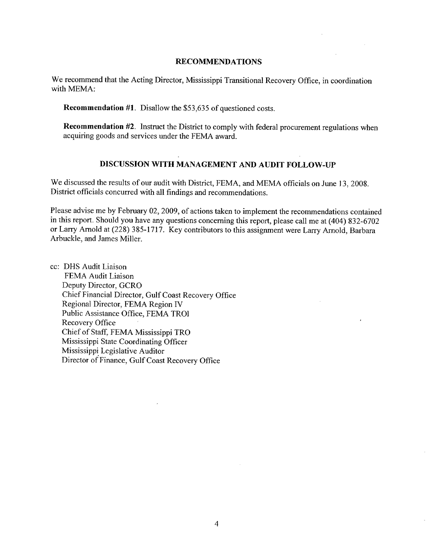### RECOMMENDATIONS

We recommend that the Acting Director, Mississippi Transitional Recovery Office, in coordination with MEMA:

Recommendation #1. Disallow the \$53,635 of questioned costs.

Recommendation #2. Instruct the District to comply with federal procurement regulations when acquiring goods and services under the FEMA award.

### DISCUSSION WITH MANAGEMENT AND AUDIT FOLLOW-UP

We discussed the results of our audit with District, FEMA, and MEMA officials on June 13, 2008. District officials concurred with all findings and recommendations.

Please advise me by February 02, 2009, of actions taken to implement the recommendations contained in this report. Should you have any questions concerning this report, please call me at (404) 832-6702 or Larry Arnold at (228) 385-1717. Key contributors to this assignment were Larry Arnold, Barbara Arbuckle, and James Miller.

cc: DHS Audit Liaison FEMA Audit Liaison Deputy Director, GCRO Chief Financial Director, Gulf Coast Recovery Office Regional Director, FEMA Region iv Public Assistance Office, FEMA TROI Recovery Office Chief of Staff, FEMA Mississippi TRO Mississippi State Coordinating Officer Mississippi. Legislative Auditor Director of Finance, Gulf Coast Recovery Office